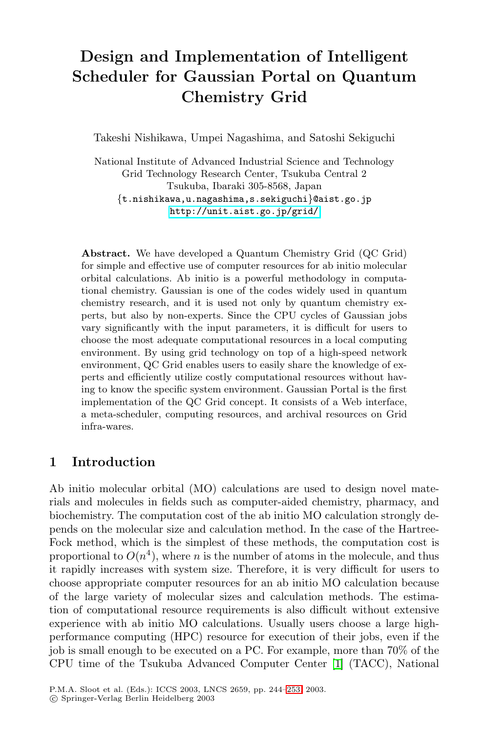# **Design and Implementation of Intelligent [Scheduler for Gaus](http://unit.aist.go.jp/grid/)sian Portal on Quantum Chemistry Grid**

Takeshi Nishikawa, Umpei Nagashima, and Satoshi Sekiguchi

National Institute of Advanced Industrial Science and Technology Grid Technology Research Center, Tsukuba Central 2 Tsukuba, Ibaraki 305-8568, Japan {t.nishikawa,u.nagashima,s.sekiguchi}@aist.go.jp http://unit.aist.go.jp/grid/

**Abstract.** We have developed a Quantum Chemistry Grid (QC Grid) for simple and effective use of computer resources for ab initio molecular orbital calculations. Ab initio is a powerful methodology in computational chemistry. Gaussian is one of the codes widely used in quantum chemistry research, and it is used not only by quantum chemistry experts, but also by non-experts. Since the CPU cycles of Gaussian jobs vary significantly with the input parameters, it is difficult for users to choose the most adequate computational resources in a local computing environment. By using grid technology on top of a high-speed network environment, QC Grid enables users to easily share the knowledge of experts and efficiently utilize costly computational resources without having to know the specific system environment. Gaussian Portal is the first implementation of the QC Grid concept. It consists of a Web interface, a meta-scheduler, computing resources, and archival resources on Grid infra-wares.

# **1 Introduction**

Ab initio molecular orbital (MO) calculations are used to design novel materials and molecules in fields such as computer-aided chemistry, pharmacy, and biochemistry. The computation cost of the ab initio MO calculation strongly depends on the molecular size and calc[ula](#page-9-0)tion method. In the case of the Hartree-Fock method, which is the simplest of these methods, the computation cost is proportional to  $O(n^4)$ , whe[re](#page-8-0) *n* is the number of atoms in the molecule, and thus it rapidly increases with system size. Therefore, it is very difficult for users to choose appropriate computer resources for an ab initio MO calculation because of the large variety of molecular sizes and calculation methods. The estimation of computational resource requirements is also difficult without extensive experience with ab initio MO calculations. Usually users choose a large highperformance computing (HPC) resource for execution of their jobs, even if the job is small enough to be executed on a PC. For example, more than 70% of the CPU time of the Tsukuba Advanced Computer Center [1] (TACC), National

P.M.A. Sloot et al. (Eds.): ICCS 2003, LNCS 2659, pp. 244–253, 2003. c Springer-Verlag Berlin Heidelberg 2003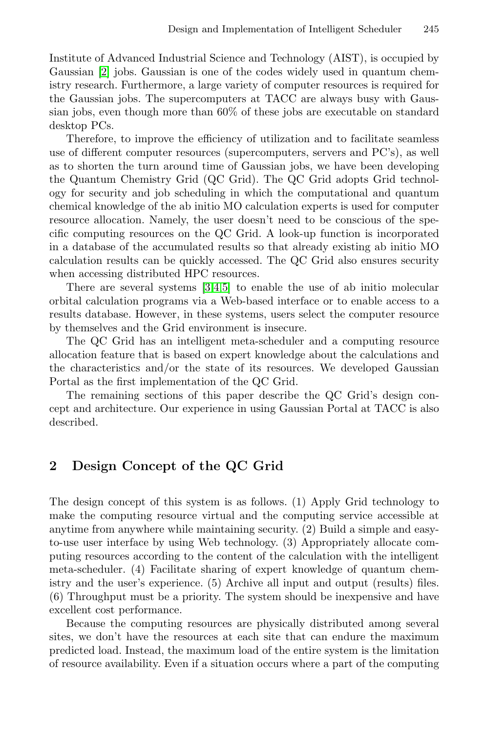Institute of Advanced Industrial Science and Technology (AIST), is occupied by Gaussian [\[2\]](#page-9-0) jobs. Gaussian is one of the codes widely used in quantum chemistry research. Furthermore, a large variety of computer resources is required for the Gaussian jobs. The supercomputers at TACC are always busy with Gaussian jobs, even though more than 60% of these jobs are executable on standard desktop PCs.

Therefore, to improve the efficiency of utilization and to facilitate seamless use of different computer resources (supercomputers, servers and PC's), as well as to shorten the turn around time of Gaussian jobs, we have been developing the Quantum Chemistry Grid (QC Grid). The QC Grid adopts Grid technology for security and job scheduling in which the computational and quantum chemical knowledge of the ab initio MO calculation experts is used for computer resource allocation. Namely, the user doesn't need to be conscious of the specific computing resources on the QC Grid. A look-up function is incorporated in a database of the accumulated results so that already existing ab initio MO calculation results can be quickly accessed. The QC Grid also ensures security when accessing distributed HPC resources.

There are several systems [\[3,4,5\]](#page-9-0) to enable the use of ab initio molecular orbital calculation programs via a Web-based interface or to enable access to a results database. However, in these systems, users select the computer resource by themselves and the Grid environment is insecure.

The QC Grid has an intelligent meta-scheduler and a computing resource allocation feature that is based on expert knowledge about the calculations and the characteristics and/or the state of its resources. We developed Gaussian Portal as the first implementation of the QC Grid.

The remaining sections of this paper describe the QC Grid's design concept and architecture. Our experience in using Gaussian Portal at TACC is also described.

## **2 Design Concept of the QC Grid**

The design concept of this system is as follows. (1) Apply Grid technology to make the computing resource virtual and the computing service accessible at anytime from anywhere while maintaining security. (2) Build a simple and easyto-use user interface by using Web technology. (3) Appropriately allocate computing resources according to the content of the calculation with the intelligent meta-scheduler. (4) Facilitate sharing of expert knowledge of quantum chemistry and the user's experience. (5) Archive all input and output (results) files. (6) Throughput must be a priority. The system should be inexpensive and have excellent cost performance.

Because the computing resources are physically distributed among several sites, we don't have the resources at each site that can endure the maximum predicted load. Instead, the maximum load of the entire system is the limitation of resource availability. Even if a situation occurs where a part of the computing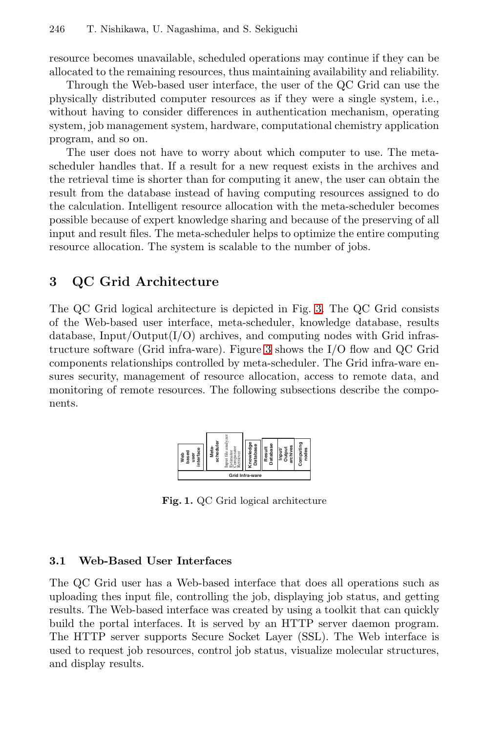resource becomes unavailable, scheduled operations may continue if they can be allocated to the remaining resources, thus maintaining availability and reliability.

Through the Web-based user interface, the user of the QC Grid can use the physically distributed computer resources as if they were a single system, i.e., without having to consider differences in authentication mechanism, operating system, job management system, hardware, computational chemistry application program, and so on.

The user does not have to worry about which computer to use. The metascheduler handles that. If a result for a new request exists in the archives and the retrieval time is shorter than for computing it anew, the user can obtain the result from the database instead of having computing resources assigned to do the calculation. Intelligent resource allocation with the meta-scheduler becomes possible because of expert knowledge sharing and because of the preserving of all input and result files. The meta-scheduler helps to optimize the entire computing resource allocation. The system is scalable to the number of jobs.

## **3 QC Grid Architecture**

The QC Grid logical architecture is depicted in Fig. 3. The QC Grid consists of the Web-based user interface, meta-scheduler, knowledge database, results database, Input/Output(I/O) archives, and computing nodes with Grid infrastructure software (Grid infra-ware). Figure 3 shows the I/O flow and QC Grid components relationships controlled by meta-scheduler. The Grid infra-ware ensures security, management of resource allocation, access to remote data, and monitoring of remote resources. The following subsections describe the components.



**Fig. 1.** QC Grid logical architecture

#### **3.1 Web-Based User Interfaces**

The QC Grid user has a Web-based interface that does all operations such as uploading thes input file, controlling the job, displaying job status, and getting results. The Web-based interface was created by using a toolkit that can quickly build the portal interfaces. It is served by an HTTP server daemon program. The HTTP server supports Secure Socket Layer (SSL). The Web interface is used to request job resources, control job status, visualize molecular structures, and display results.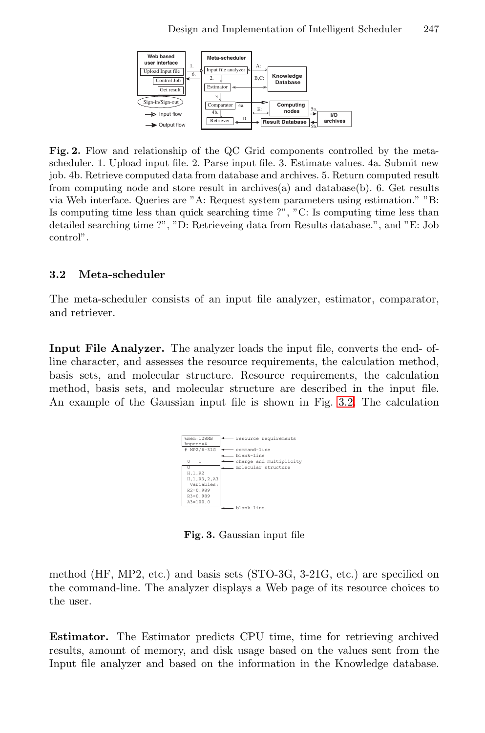

**Fig. 2.** Flow and relationship of the QC Grid components controlled by the metascheduler. 1. Upload input file. 2. Parse input file. 3. Estimate values. 4a. Submit new job. 4b. Retrieve computed data from database and archives. 5. Return computed result from computing node and store result in archives(a) and database(b). 6. Get results via Web interface. Queries are "A: Request system parameters using estimation." "B: Is computing time less than quick searching time ?", "C: Is computing time less than detailed searching time ?", "D: Retrieveing data from Results database.", and "E: Job control".

#### **3.2 Meta-scheduler**

The meta-scheduler consists of an input file analyzer, estimator, comparator, and retriever.

**Input File Analyzer.** The analyzer loads the input file, converts the end- ofline character, and assesses the resource requirements, the calculation method, basis sets, and molecular structure. Resource requirements, the calculation method, basis sets, and molecular structure are described in the input file. An example of the Gaussian input file is shown in Fig. 3.2. The calculation



**Fig. 3.** Gaussian input file

method (HF, MP2, etc.) and basis sets (STO-3G, 3-21G, etc.) are specified on the command-line. The analyzer displays a Web page of its resource choices to the user.

**Estimator.** The Estimator predicts CPU time, time for retrieving archived results, amount of memory, and disk usage based on the values sent from the Input file analyzer and based on the information in the Knowledge database.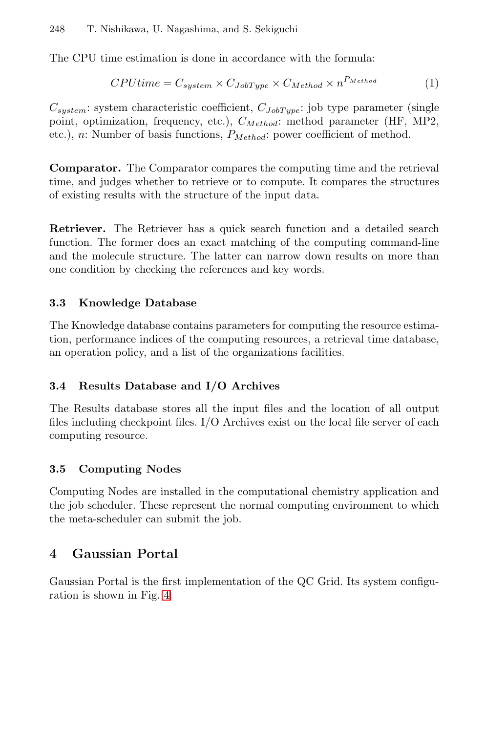The CPU time estimation is done in accordance with the formula:

$$
CPUtime = C_{system} \times C_{JobType} \times C_{Method} \times n^{P_{Method}} \tag{1}
$$

 $C_{system}$ : system characteristic coefficient,  $C_{JobType}$ : job type parameter (single point, optimization, frequency, etc.),  $C_{Method}$ : method parameter (HF, MP2, etc.), n: Number of basis functions,  $P_{Method}$ : power coefficient of method.

**Comparator.** The Comparator compares the computing time and the retrieval time, and judges whether to retrieve or to compute. It compares the structures of existing results with the structure of the input data.

**Retriever.** The Retriever has a quick search function and a detailed search function. The former does an exact matching of the computing command-line and the molecule structure. The latter can narrow down results on more than one condition by checking the references and key words.

#### **3.3 Knowledge Database**

The Knowledge database contains parameters for computing the resource estimation, performance indices of the computing resources, a retrieval time database, an operation policy, and a list of the organizations facilities.

#### **3.4 Results Database and I/O Archives**

The Results database stores all the input files and the location of all output files including checkpoint files. I/O Archives exist on the local file server of each computing resource.

## **3.5 Computing Nodes**

Computing Nodes are installed in the computational chemistry application and the job scheduler. These represent the normal computing environment to which the meta-scheduler can submit the job.

# **4 Gaussian Portal**

Gaussian Portal is the first implementation of the QC Grid. Its system configuration is shown in Fig. 4.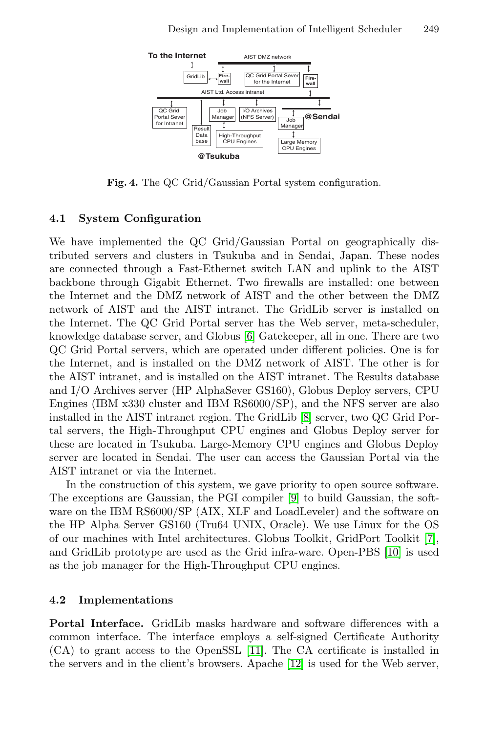

**Fig. 4.** The QC Grid/Gaussian Portal system configuration.

#### **4.1 System Configuration**

We have implemented the QC Grid/Gaussian Portal on geographically distributed servers and clusters in Tsukuba and in Sendai, Japan. These nodes are connected through a Fast-Ethernet switch LAN and uplink to the AIST backbone through Gigabit Ethernet. Two firewalls are installed: one between the Internet and the DMZ network of AIST and the other between the DMZ network of AIST and the AIST intranet. The GridLib server is installed on the Internet. The QC Grid Portal server has the Web server, meta-scheduler, knowledge database server, and Globus [\[6\]](#page-9-0) Gatekeeper, all in one. There are two QC Grid Portal servers, which are operated under different policies. One is for the Internet, and is installed on the DMZ network of AIST. The other is for the AIST intranet, and is installed on the AIST intranet. The Results database and I/O Archives server (HP AlphaSever GS160), Globus Deploy servers, CPU Engines (IBM x330 cluster and IBM RS6000/SP), and the NFS server are also installed in the AIST intranet region. The GridLib [\[8\]](#page-9-0) server, two QC Grid Portal servers, the High-Throughput CPU engines and Globus Deploy server for these are located in Tsukuba. Large-Memory CPU engines and Globus Deploy server are located in Sendai. The user can access the Gaussian Portal via the AIST intranet or via the Internet.

In the construction of this system, we gave priority to open source software. The exceptions are Gaussian, the PGI compiler [\[9\]](#page-9-0) to build Gaussian, the software on the IBM RS6000/SP (AIX, XLF and LoadLeveler) and the software on the HP Alpha Server GS160 (Tru64 UNIX, Oracle). We use Linux for the OS of our machines with Intel architectures. Globus Toolkit, GridPort Toolkit [\[7\]](#page-9-0), and GridLib prototype are used as the Grid infra-ware. Open-PBS [\[10\]](#page-9-0) is used as the job manager for the High-Throughput CPU engines.

#### **4.2 Implementations**

**Portal Interface.** GridLib masks hardware and software differences with a common interface. The interface employs a self-signed Certificate Authority (CA) to grant access to the OpenSSL [\[11\]](#page-9-0). The CA certificate is installed in the servers and in the client's browsers. Apache [\[12\]](#page-9-0) is used for the Web server,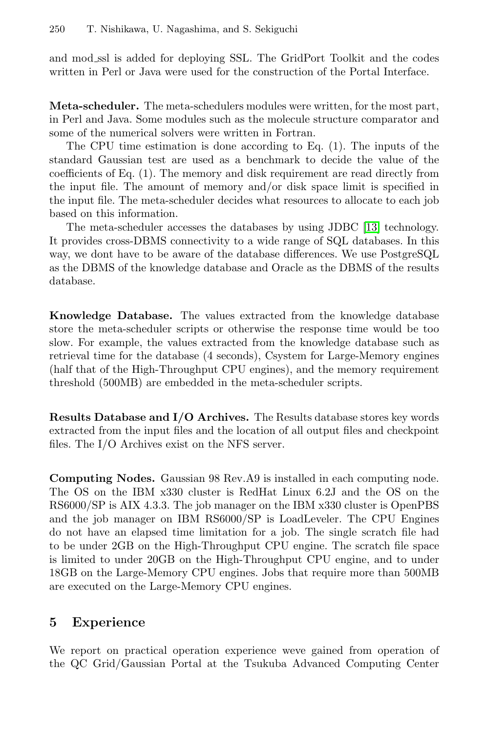<span id="page-6-0"></span>and mod ssl is added for deploying SSL. The GridPort Toolkit and the codes written in Perl or Java were used for the construction of the Portal Interface.

**Meta-scheduler.** The meta-schedulers modules were written, for the most part, in Perl and Java. Some modules such as the molecule structure comparator and some of the numerical solvers were written in Fortran.

The CPU time estimation is done according to Eq. (1). The inputs of the standard Gaussian test are used as a benchmark to decide the value of the coefficients of Eq. (1). The memory and disk requirement are read directly from the input file. The amount of memory and/or disk space limit is specified in the input file. The meta-scheduler decides what resources to allocate to each job based on this information.

The meta-scheduler accesses the databases by using JDBC [\[13\]](#page-9-0) technology. It provides cross-DBMS connectivity to a wide range of SQL databases. In this way, we dont have to be aware of the database differences. We use PostgreSQL as the DBMS of the knowledge database and Oracle as the DBMS of the results database.

**Knowledge Database.** The values extracted from the knowledge database store the meta-scheduler scripts or otherwise the response time would be too slow. For example, the values extracted from the knowledge database such as retrieval time for the database (4 seconds), Csystem for Large-Memory engines (half that of the High-Throughput CPU engines), and the memory requirement threshold (500MB) are embedded in the meta-scheduler scripts.

**Results Database and I/O Archives.** The Results database stores key words extracted from the input files and the location of all output files and checkpoint files. The I/O Archives exist on the NFS server.

**Computing Nodes.** Gaussian 98 Rev.A9 is installed in each computing node. The OS on the IBM x330 cluster is RedHat Linux 6.2J and the OS on the RS6000/SP is AIX 4.3.3. The job manager on the IBM x330 cluster is OpenPBS and the job manager on IBM RS6000/SP is LoadLeveler. The CPU Engines do not have an elapsed time limitation for a job. The single scratch file had to be under 2GB on the High-Throughput CPU engine. The scratch file space is limited to under 20GB on the High-Throughput CPU engine, and to under 18GB on the Large-Memory CPU engines. Jobs that require more than 500MB are executed on the Large-Memory CPU engines.

# **5 Experience**

We report on practical operation experience weve gained from operation of the QC Grid/Gaussian Portal at the Tsukuba Advanced Computing Center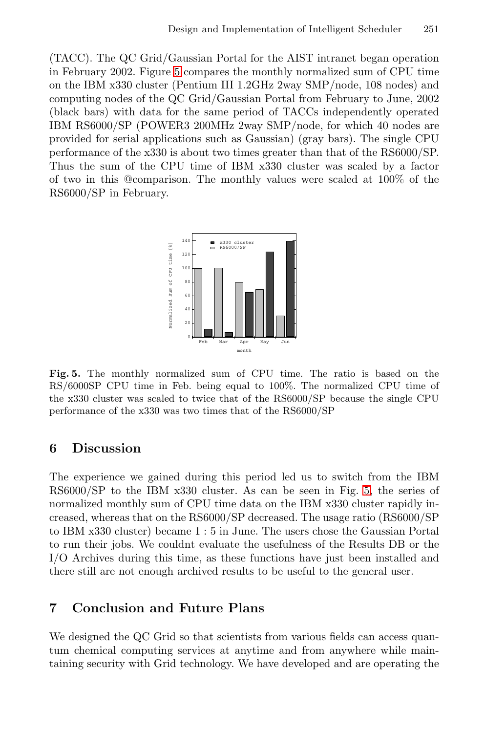(TACC). The QC Grid/Gaussian Portal for the AIST intranet began operation in February 2002. Figure [5](#page-6-0) compares the monthly normalized sum of CPU time on the IBM x330 cluster (Pentium III 1.2GHz 2way SMP/node, 108 nodes) and computing nodes of the QC Grid/Gaussian Portal from February to June, 2002 (black bars) with data for the same period of TACCs independently operated IBM RS6000/SP (POWER3 200MHz 2way SMP/node, for which 40 nodes are provided for serial applications such as Gaussian) (gray bars). The single CPU performance of the x330 is about two times greater than that of the RS6000/SP. Thus the sum of the CPU time of IBM x330 cluster was scaled by a factor of two in this @comparison. The monthly values were scaled at 100% of the RS6000/SP in February.



**Fig. 5.** The monthly normalized sum of CPU time. The ratio is based on the RS/6000SP CPU time in Feb. being equal to 100%. The normalized CPU time of the x330 cluster was scaled to twice that of the RS6000/SP because the single CPU performance of the x330 was two times that of the RS6000/SP

### **6 Discussion**

The experience we gained during this period led us to switch from the IBM RS6000/SP to the IBM x330 cluster. As can be seen in Fig. [5,](#page-6-0) the series of normalized monthly sum of CPU time data on the IBM x330 cluster rapidly increased, whereas that on the RS6000/SP decreased. The usage ratio (RS6000/SP to IBM x330 cluster) became 1 : 5 in June. The users chose the Gaussian Portal to run their jobs. We couldnt evaluate the usefulness of the Results DB or the I/O Archives during this time, as these functions have just been installed and there still are not enough archived results to be useful to the general user.

#### **7 Conclusion and Future Plans**

We designed the QC Grid so that scientists from various fields can access quantum chemical computing services at anytime and from anywhere while maintaining security with Grid technology. We have developed and are operating the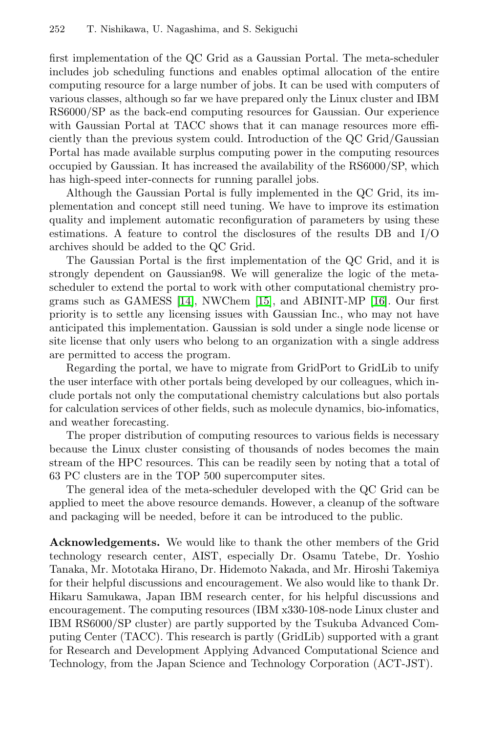<span id="page-8-0"></span>first implementation of the QC Grid as a Gaussian Portal. The meta-scheduler includes job scheduling functions and enables optimal allocation of the entire computing resource for a large number of jobs. It can be used with computers of various classes, although so far we have prepared only the Linux cluster and IBM RS6000/SP as the back-end computing resources for Gaussian. Our experience with Gaussian Portal at TACC shows that it can manage resources more efficiently than the previous system could. Introduction of the QC Grid/Gaussian Portal has made available surplus computing power in the computing resources occupied by Gaussian. It has increased the availability of the RS6000/SP, which has high-speed inter-connects for running parallel jobs.

Although the Gaussian Portal is fully implemented in the QC Grid, its implementation and concept still need tuning. We have to improve its estimation quality and implement automatic reconfiguration of parameters by using these estimations. A feature to control the disclosures of the results DB and I/O archives should be added to the QC Grid.

The Gaussian Portal is the first implementation of the QC Grid, and it is strongly dependent on Gaussian98. We will generalize the logic of the metascheduler to extend the portal to work with other computational chemistry programs such as GAMESS [\[14\]](#page-9-0), NWChem [\[15\]](#page-9-0), and ABINIT-MP [\[16\]](#page-9-0). Our first priority is to settle any licensing issues with Gaussian Inc., who may not have anticipated this implementation. Gaussian is sold under a single node license or site license that only users who belong to an organization with a single address are permitted to access the program.

Regarding the portal, we have to migrate from GridPort to GridLib to unify the user interface with other portals being developed by our colleagues, which include portals not only the computational chemistry calculations but also portals for calculation services of other fields, such as molecule dynamics, bio-infomatics, and weather forecasting.

The proper distribution of computing resources to various fields is necessary because the Linux cluster consisting of thousands of nodes becomes the main stream of the HPC resources. This can be readily seen by noting that a total of 63 PC clusters are in the TOP 500 supercomputer sites.

The general idea of the meta-scheduler developed with the QC Grid can be applied to meet the above resource demands. However, a cleanup of the software and packaging will be needed, before it can be introduced to the public.

**Acknowledgements.** We would like to thank the other members of the Grid technology research center, AIST, especially Dr. Osamu Tatebe, Dr. Yoshio Tanaka, Mr. Mototaka Hirano, Dr. Hidemoto Nakada, and Mr. Hiroshi Takemiya for their helpful discussions and encouragement. We also would like to thank Dr. Hikaru Samukawa, Japan IBM research center, for his helpful discussions and encouragement. The computing resources (IBM x330-108-node Linux cluster and IBM RS6000/SP cluster) are partly supported by the Tsukuba Advanced Computing Center (TACC). This research is partly (GridLib) supported with a grant for Research and Development Applying Advanced Computational Science and Technology, from the Japan Science and Technology Corporation (ACT-JST).